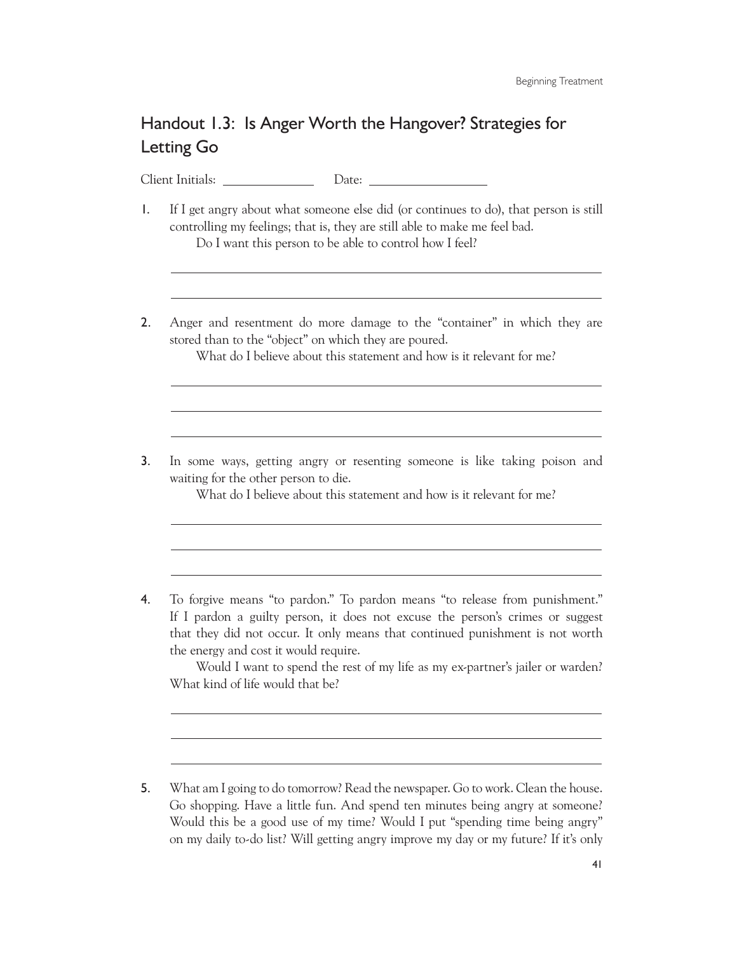## Handout 1.3: Is Anger Worth the Hangover? Strategies for Letting Go

Client Initials: Date:

 $\overline{a}$ 

 $\overline{a}$ 

 $\overline{a}$ 

 $\overline{a}$ 

- 1. If I get angry about what someone else did (or continues to do), that person is still controlling my feelings; that is, they are still able to make me feel bad. Do I want this person to be able to control how I feel?
- 2. Anger and resentment do more damage to the "container" in which they are stored than to the "object" on which they are poured.

What do I believe about this statement and how is it relevant for me?

3. In some ways, getting angry or resenting someone is like taking poison and waiting for the other person to die.

What do I believe about this statement and how is it relevant for me?

4. To forgive means "to pardon." To pardon means "to release from punishment." If I pardon a guilty person, it does not excuse the person's crimes or suggest that they did not occur. It only means that continued punishment is not worth the energy and cost it would require.

 Would I want to spend the rest of my life as my ex-partner's jailer or warden? What kind of life would that be?

<sup>5.</sup> What am I going to do tomorrow? Read the newspaper. Go to work. Clean the house. Go shopping. Have a little fun. And spend ten minutes being angry at someone? Would this be a good use of my time? Would I put "spending time being angry" on my daily to-do list? Will getting angry improve my day or my future? If it's only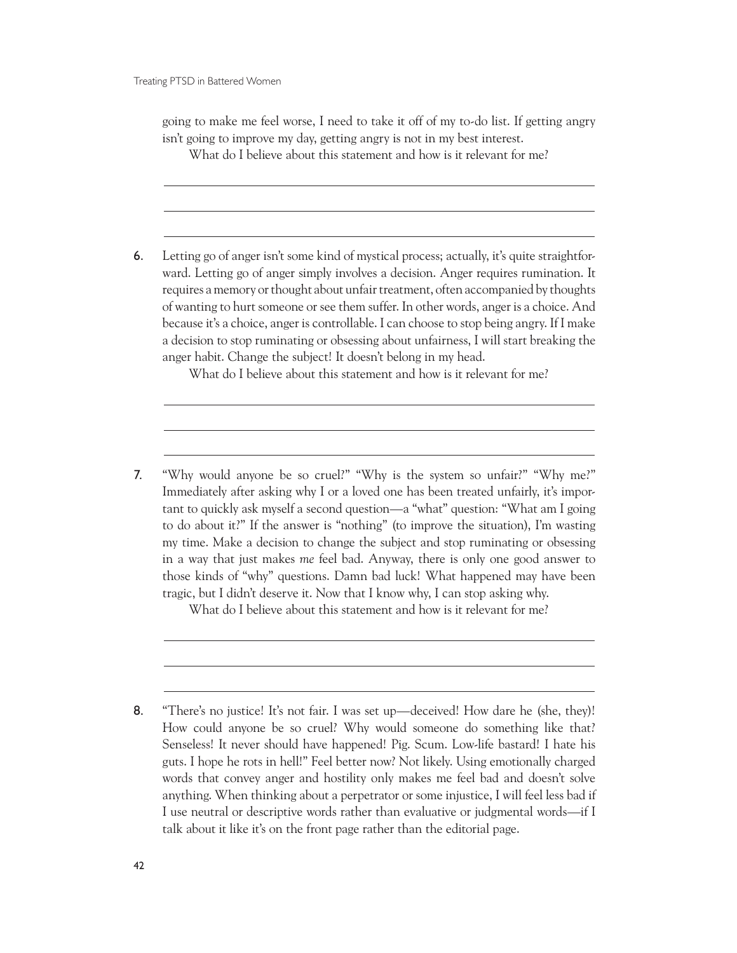Treating PTSD in Battered Women

 $\overline{a}$ 

 $\overline{a}$ 

 $\overline{a}$ 

going to make me feel worse, I need to take it off of my to-do list. If getting angry isn't going to improve my day, getting angry is not in my best interest.

What do I believe about this statement and how is it relevant for me?

6. Letting go of anger isn't some kind of mystical process; actually, it's quite straightforward. Letting go of anger simply involves a decision. Anger requires rumination. It requires a memory or thought about unfair treatment, often accompanied by thoughts of wanting to hurt someone or see them suffer. In other words, anger is a choice. And because it's a choice, anger is controllable. I can choose to stop being angry. If I make a decision to stop ruminating or obsessing about unfairness, I will start breaking the anger habit. Change the subject! It doesn't belong in my head.

What do I believe about this statement and how is it relevant for me?

7. "Why would anyone be so cruel?" "Why is the system so unfair?" "Why me?" Immediately after asking why I or a loved one has been treated unfairly, it's important to quickly ask myself a second question—a "what" question: "What am I going to do about it?" If the answer is "nothing" (to improve the situation), I'm wasting my time. Make a decision to change the subject and stop ruminating or obsessing in a way that just makes *me* feel bad. Anyway, there is only one good answer to those kinds of "why" questions. Damn bad luck! What happened may have been tragic, but I didn't deserve it. Now that I know why, I can stop asking why.

What do I believe about this statement and how is it relevant for me?

<sup>8.</sup> "There's no justice! It's not fair. I was set up—deceived! How dare he (she, they)! How could anyone be so cruel? Why would someone do something like that? Senseless! It never should have happened! Pig. Scum. Low-life bastard! I hate his guts. I hope he rots in hell!" Feel better now? Not likely. Using emotionally charged words that convey anger and hostility only makes me feel bad and doesn't solve anything. When thinking about a perpetrator or some injustice, I will feel less bad if I use neutral or descriptive words rather than evaluative or judgmental words—if I talk about it like it's on the front page rather than the editorial page.